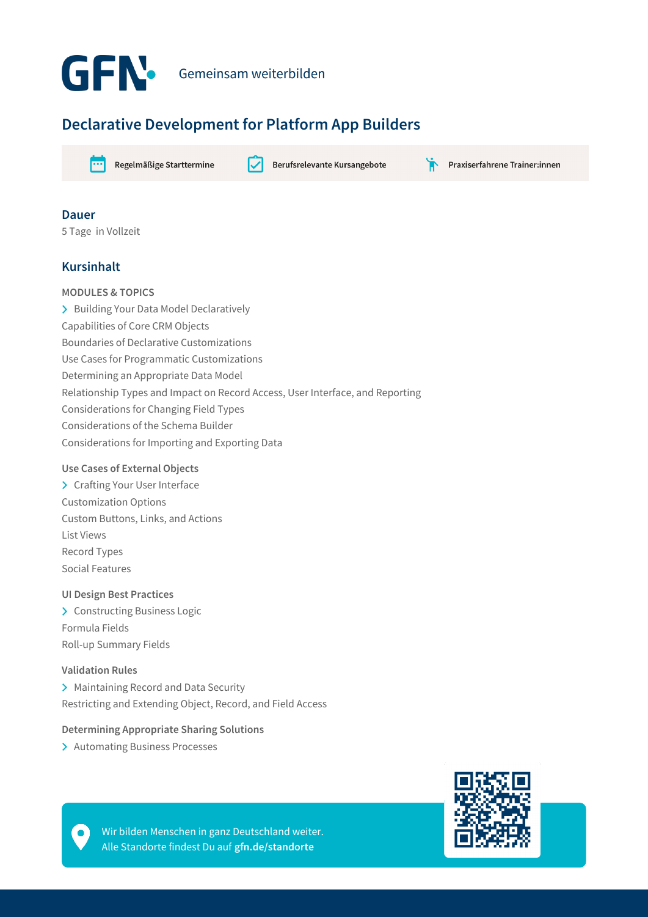

# **Declarative Development for Platform App Builders**



Regelmäßige Starttermine

Berufsrelevante Kursangebote

Praxiserfahrene Trainer:innen

### **Dauer**

5 Tage in Vollzeit

# **Kursinhalt**

# **MODULES & TOPICS**

> Building Your Data Model Declaratively Capabilities of Core CRM Objects Boundaries of Declarative Customizations Use Cases for Programmatic Customizations Determining an Appropriate Data Model Relationship Types and Impact on Record Access, User Interface, and Reporting Considerations for Changing Field Types Considerations of the Schema Builder Considerations for Importing and Exporting Data

#### **Use Cases of External Objects**

> Crafting Your User Interface Customization Options Custom Buttons, Links, and Actions List Views Record Types Social Features

#### **UI Design Best Practices**

> Constructing Business Logic Formula Fields Roll-up Summary Fields

#### **Validation Rules**

> Maintaining Record and Data Security Restricting and Extending Object, Record, and Field Access

#### **Determining Appropriate Sharing Solutions**

> Automating Business Processes



Wir bilden Menschen in ganz Deutschland weiter. Alle Standorte findest Du auf **gfn.de/standorte**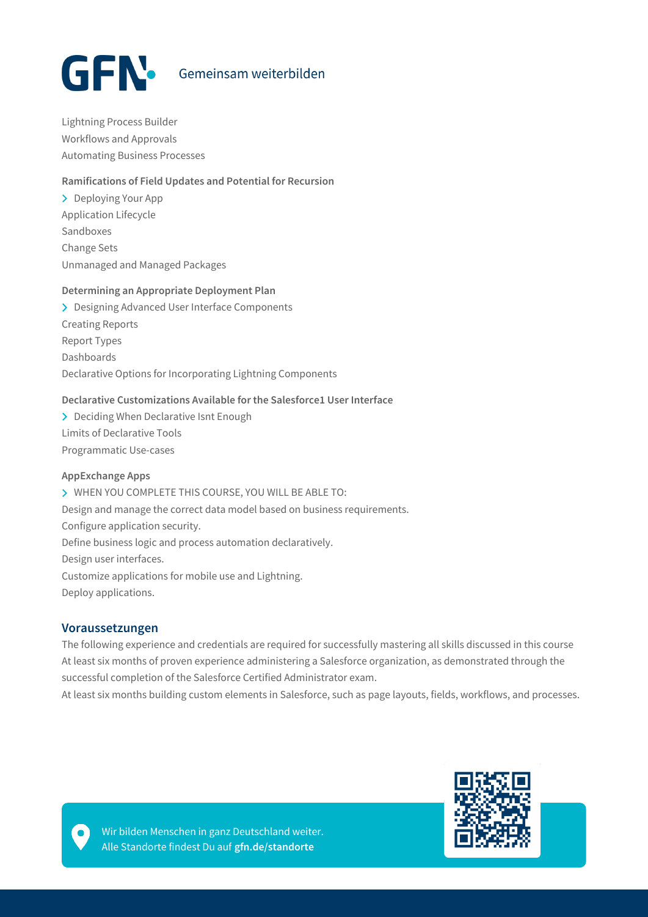

Lightning Process Builder Workflows and Approvals Automating Business Processes

#### **Ramifications of Field Updates and Potential for Recursion**

> Deploying Your App Application Lifecycle Sandboxes Change Sets Unmanaged and Managed Packages

#### **Determining an Appropriate Deployment Plan**

> Designing Advanced User Interface Components Creating Reports Report Types Dashboards Declarative Options for Incorporating Lightning Components

#### **Declarative Customizations Available for the Salesforce1 User Interface**

> Deciding When Declarative Isnt Enough Limits of Declarative Tools Programmatic Use-cases

#### **AppExchange Apps**

WHEN YOU COMPLETE THIS COURSE, YOU WILL BE ABLE TO: Design and manage the correct data model based on business requirements. Configure application security. Define business logic and process automation declaratively. Design user interfaces. Customize applications for mobile use and Lightning. Deploy applications.

#### **Voraussetzungen**

The following experience and credentials are required for successfully mastering all skills discussed in this course At least six months of proven experience administering a Salesforce organization, as demonstrated through the successful completion of the Salesforce Certified Administrator exam.

At least six months building custom elements in Salesforce, such as page layouts, fields, workflows, and processes.